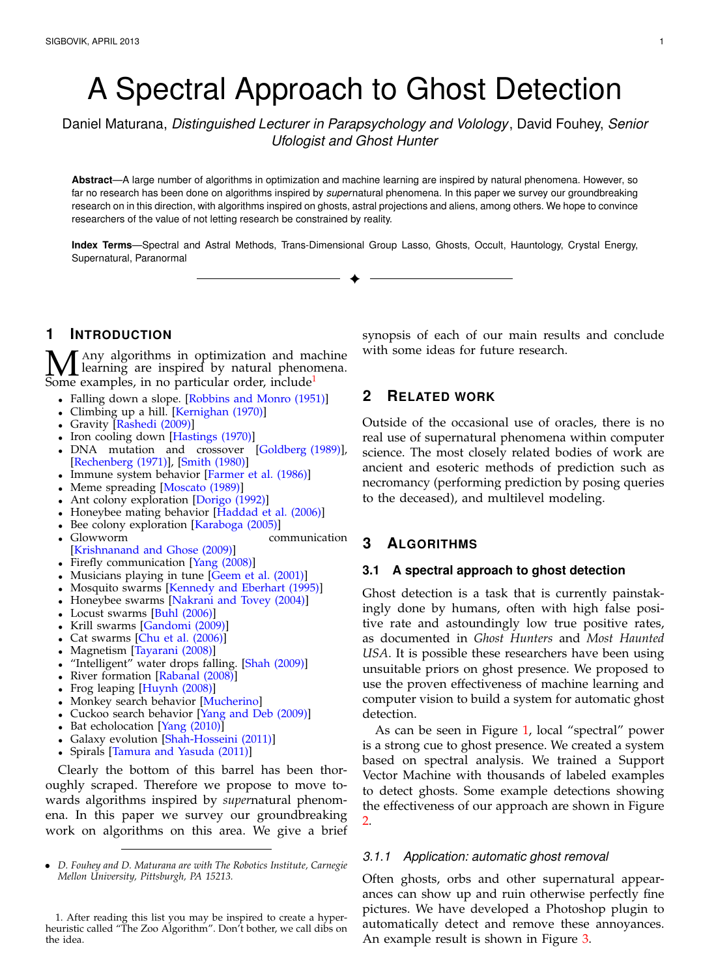# A Spectral Approach to Ghost Detection

Daniel Maturana, *Distinguished Lecturer in Parapsychology and Volology*, David Fouhey, *Senior Ufologist and Ghost Hunter*

**Abstract**—A large number of algorithms in optimization and machine learning are inspired by natural phenomena. However, so far no research has been done on algorithms inspired by *super*natural phenomena. In this paper we survey our groundbreaking research on in this direction, with algorithms inspired on ghosts, astral projections and aliens, among others. We hope to convince researchers of the value of not letting research be constrained by reality.

**Index Terms**—Spectral and Astral Methods, Trans-Dimensional Group Lasso, Ghosts, Occult, Hauntology, Crystal Energy, Supernatural, Paranormal ✦

# **1 INTRODUCTION**

 $\mathbf{M}$  Any algorithms in optimization and machine<br>Some examples, in no particular order, include<sup>1</sup> learning are inspired by natural phenomena. Some examples, in no particular order, include<sup>[1](#page-0-0)</sup>

- Falling down a slope. [\[Robbins and Monro \(1951\)\]](#page-3-0)
- Climbing up a hill. [\[Kernighan \(1970\)\]](#page-3-1)
- Gravity [\[Rashedi \(2009\)\]](#page-3-2)
- Iron cooling down [\[Hastings \(1970\)\]](#page-2-0)
- DNA mutation and crossover [\[Goldberg \(1989\)\]](#page-2-1), [\[Rechenberg \(1971\)\]](#page-3-3), [\[Smith \(1980\)\]](#page-3-4)
- Immune system behavior [\[Farmer et al. \(1986\)\]](#page-2-2)
- Meme spreading [\[Moscato \(1989\)\]](#page-3-5)
- Ant colony exploration [\[Dorigo \(1992\)\]](#page-2-3)
- Honeybee mating behavior [\[Haddad et al. \(2006\)\]](#page-2-4)
- Bee colony exploration [\[Karaboga \(2005\)\]](#page-2-5)
- Glowworm communication [\[Krishnanand and Ghose \(2009\)\]](#page-3-6)
- Firefly communication [\[Yang \(2008\)\]](#page-3-7)
- Musicians playing in tune [\[Geem et al. \(2001\)\]](#page-2-6)
- Mosquito swarms [\[Kennedy and Eberhart \(1995\)\]](#page-3-8)
- Honeybee swarms [\[Nakrani and Tovey \(2004\)\]](#page-3-9)
- Locust swarms [\[Buhl \(2006\)\]](#page-3-10)
- Krill swarms [\[Gandomi \(2009\)\]](#page-3-11)
- Cat swarms [\[Chu et al. \(2006\)\]](#page-2-7)
- Magnetism [\[Tayarani \(2008\)\]](#page-3-12)
- "Intelligent" water drops falling. [\[Shah \(2009\)\]](#page-3-13)
- River formation [\[Rabanal \(2008\)\]](#page-3-14)
- Frog leaping [\[Huynh \(2008\)\]](#page-2-8)
- Monkey search behavior [\[Mucherino\]](#page-3-15)
- Cuckoo search behavior [\[Yang and Deb \(2009\)\]](#page-3-16)
- Bat echolocation [\[Yang \(2010\)\]](#page-3-17)
- Galaxy evolution [\[Shah-Hosseini \(2011\)\]](#page-3-18)
- Spirals [\[Tamura and Yasuda \(2011\)\]](#page-3-19)

Clearly the bottom of this barrel has been thoroughly scraped. Therefore we propose to move towards algorithms inspired by *super*natural phenomena. In this paper we survey our groundbreaking work on algorithms on this area. We give a brief

<span id="page-0-0"></span>1. After reading this list you may be inspired to create a hyperheuristic called "The Zoo Algorithm". Don't bother, we call dibs on the idea.

synopsis of each of our main results and conclude with some ideas for future research.

# **2 RELATED WORK**

Outside of the occasional use of oracles, there is no real use of supernatural phenomena within computer science. The most closely related bodies of work are ancient and esoteric methods of prediction such as necromancy (performing prediction by posing queries to the deceased), and multilevel modeling.

# **3 ALGORITHMS**

# **3.1 A spectral approach to ghost detection**

Ghost detection is a task that is currently painstakingly done by humans, often with high false positive rate and astoundingly low true positive rates, as documented in *Ghost Hunters* and *Most Haunted USA*. It is possible these researchers have been using unsuitable priors on ghost presence. We proposed to use the proven effectiveness of machine learning and computer vision to build a system for automatic ghost detection.

As can be seen in Figure [1,](#page-1-0) local "spectral" power is a strong cue to ghost presence. We created a system based on spectral analysis. We trained a Support Vector Machine with thousands of labeled examples to detect ghosts. Some example detections showing the effectiveness of our approach are shown in Figure [2.](#page-1-1)

## *3.1.1 Application: automatic ghost removal*

Often ghosts, orbs and other supernatural appearances can show up and ruin otherwise perfectly fine pictures. We have developed a Photoshop plugin to automatically detect and remove these annoyances. An example result is shown in Figure [3.](#page-1-2)

<sup>•</sup> *D. Fouhey and D. Maturana are with The Robotics Institute, Carnegie Mellon University, Pittsburgh, PA 15213.*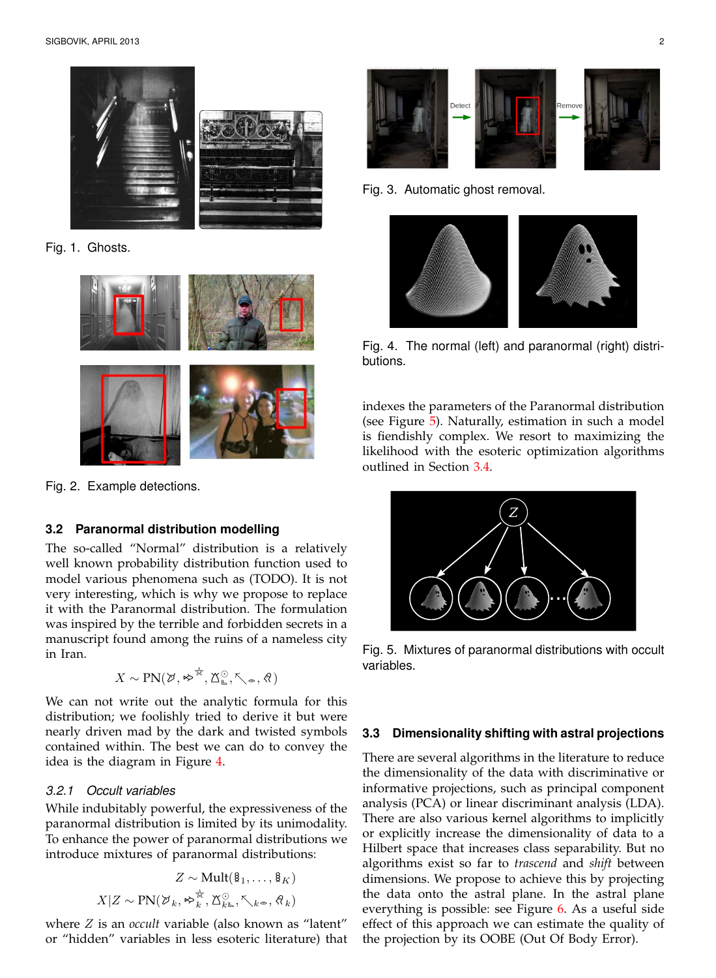

Fig. 1. Ghosts.

<span id="page-1-0"></span>

Fig. 2. Example detections.

# <span id="page-1-1"></span>**3.2 Paranormal distribution modelling**

The so-called "Normal" distribution is a relatively well known probability distribution function used to model various phenomena such as (TODO). It is not very interesting, which is why we propose to replace it with the Paranormal distribution. The formulation was inspired by the terrible and forbidden secrets in a manuscript found among the ruins of a nameless city in Iran.

$$
X \sim \text{PN}(\varnothing,\bm \rightsquigarrow^{\not\approx},\text{X}^{\odot}_\mathbb{L},\nwarrow_\infty,\text{\textcircled{R}})
$$

We can not write out the analytic formula for this distribution; we foolishly tried to derive it but were nearly driven mad by the dark and twisted symbols contained within. The best we can do to convey the idea is the diagram in Figure [4.](#page-1-3)

## *3.2.1 Occult variables*

While indubitably powerful, the expressiveness of the paranormal distribution is limited by its unimodality. To enhance the power of paranormal distributions we introduce mixtures of paranormal distributions:

$$
Z \sim \text{Mult}(\mathbf{\hat{g}}_1, \dots, \mathbf{\hat{g}}_K)
$$

$$
X|Z \sim \text{PN}(\mathcal{V}_k, \approx_k^{\mathcal{V}}, \mathbb{X}_{k\infty}^{\odot}, \nwarrow_{k\infty}, \mathcal{R}_k)
$$

where Z is an *occult* variable (also known as "latent" or "hidden" variables in less esoteric literature) that



<span id="page-1-2"></span>Fig. 3. Automatic ghost removal.



Fig. 4. The normal (left) and paranormal (right) distributions.

<span id="page-1-3"></span>indexes the parameters of the Paranormal distribution (see Figure [5\)](#page-1-4). Naturally, estimation in such a model is fiendishly complex. We resort to maximizing the likelihood with the esoteric optimization algorithms outlined in Section [3.4.](#page-2-9)



Fig. 5. Mixtures of paranormal distributions with occult variables.

#### <span id="page-1-4"></span>**3.3 Dimensionality shifting with astral projections**

There are several algorithms in the literature to reduce the dimensionality of the data with discriminative or informative projections, such as principal component analysis (PCA) or linear discriminant analysis (LDA). There are also various kernel algorithms to implicitly or explicitly increase the dimensionality of data to a Hilbert space that increases class separability. But no algorithms exist so far to *trascend* and *shift* between dimensions. We propose to achieve this by projecting the data onto the astral plane. In the astral plane everything is possible: see Figure [6.](#page-2-10) As a useful side effect of this approach we can estimate the quality of the projection by its OOBE (Out Of Body Error).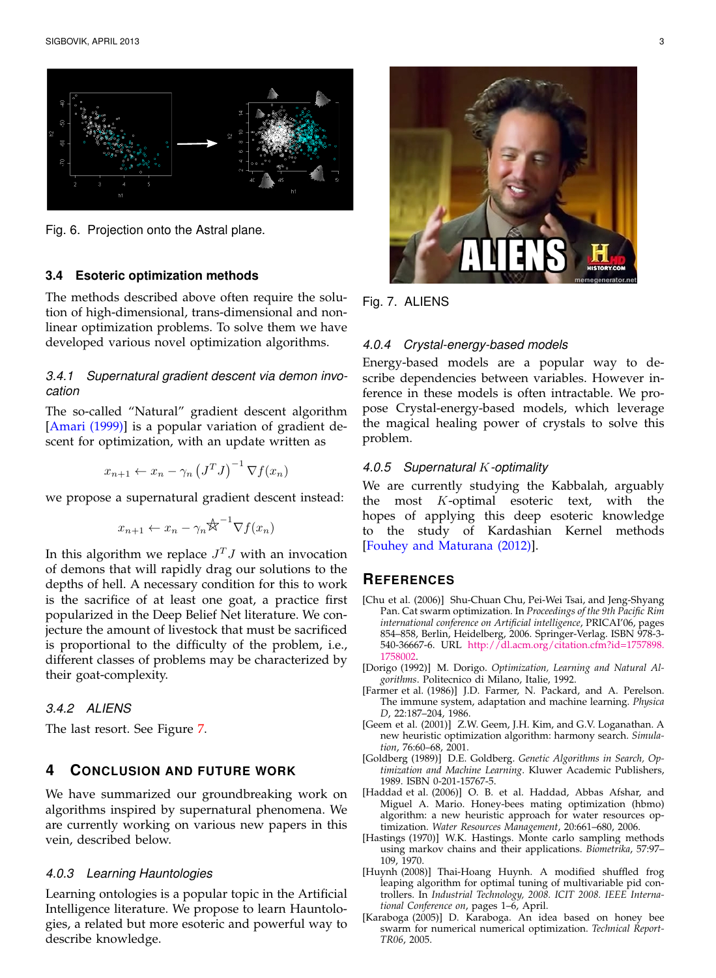

<span id="page-2-10"></span>Fig. 6. Projection onto the Astral plane.

#### <span id="page-2-9"></span>**3.4 Esoteric optimization methods**

The methods described above often require the solution of high-dimensional, trans-dimensional and nonlinear optimization problems. To solve them we have developed various novel optimization algorithms.

# *3.4.1 Supernatural gradient descent via demon invocation*

The so-called "Natural" gradient descent algorithm [\[Amari \(1999\)\]](#page-3-20) is a popular variation of gradient descent for optimization, with an update written as

$$
x_{n+1} \leftarrow x_n - \gamma_n \left( J^T J \right)^{-1} \nabla f(x_n)
$$

we propose a supernatural gradient descent instead:

$$
x_{n+1} \leftarrow x_n - \gamma_n \mathcal{K}^{-1} \nabla f(x_n)
$$

In this algorithm we replace  $J^TJ$  with an invocation of demons that will rapidly drag our solutions to the depths of hell. A necessary condition for this to work is the sacrifice of at least one goat, a practice first popularized in the Deep Belief Net literature. We conjecture the amount of livestock that must be sacrificed is proportional to the difficulty of the problem, i.e., different classes of problems may be characterized by their goat-complexity.

# *3.4.2 ALIENS*

The last resort. See Figure [7.](#page-2-11)

# **4 CONCLUSION AND FUTURE WORK**

We have summarized our groundbreaking work on algorithms inspired by supernatural phenomena. We are currently working on various new papers in this vein, described below.

#### *4.0.3 Learning Hauntologies*

Learning ontologies is a popular topic in the Artificial Intelligence literature. We propose to learn Hauntologies, a related but more esoteric and powerful way to describe knowledge.



Fig. 7. ALIENS

# <span id="page-2-11"></span>*4.0.4 Crystal-energy-based models*

Energy-based models are a popular way to describe dependencies between variables. However inference in these models is often intractable. We propose Crystal-energy-based models, which leverage the magical healing power of crystals to solve this problem.

## *4.0.5 Supernatural* K*-optimality*

We are currently studying the Kabbalah, arguably the most K-optimal esoteric text, with the hopes of applying this deep esoteric knowledge to the study of Kardashian Kernel methods [\[Fouhey and Maturana \(2012\)\]](#page-3-21).

## **REFERENCES**

- <span id="page-2-7"></span>[Chu et al. (2006)] Shu-Chuan Chu, Pei-Wei Tsai, and Jeng-Shyang Pan. Cat swarm optimization. In *Proceedings of the 9th Pacific Rim international conference on Artificial intelligence*, PRICAI'06, pages 854–858, Berlin, Heidelberg, 2006. Springer-Verlag. ISBN 978-3- 540-36667-6. URL [http://dl.acm.org/citation.cfm?id=1757898.](http://dl.acm.org/citation.cfm?id=1757898.1758002) [1758002.](http://dl.acm.org/citation.cfm?id=1757898.1758002)
- <span id="page-2-3"></span>[Dorigo (1992)] M. Dorigo. *Optimization, Learning and Natural Algorithms*. Politecnico di Milano, Italie, 1992.
- <span id="page-2-2"></span>[Farmer et al. (1986)] J.D. Farmer, N. Packard, and A. Perelson. The immune system, adaptation and machine learning. *Physica D*, 22:187–204, 1986.
- <span id="page-2-6"></span>[Geem et al. (2001)] Z.W. Geem, J.H. Kim, and G.V. Loganathan. A new heuristic optimization algorithm: harmony search. *Simulation*, 76:60–68, 2001.
- <span id="page-2-1"></span>[Goldberg (1989)] D.E. Goldberg. *Genetic Algorithms in Search, Optimization and Machine Learning*. Kluwer Academic Publishers, 1989. ISBN 0-201-15767-5.
- <span id="page-2-4"></span>[Haddad et al. (2006)] O. B. et al. Haddad, Abbas Afshar, and Miguel A. Mario. Honey-bees mating optimization (hbmo) algorithm: a new heuristic approach for water resources optimization. *Water Resources Management*, 20:661–680, 2006.
- <span id="page-2-0"></span>[Hastings (1970)] W.K. Hastings. Monte carlo sampling methods using markov chains and their applications. *Biometrika*, 57:97– 109, 1970.
- <span id="page-2-8"></span>[Huynh (2008)] Thai-Hoang Huynh. A modified shuffled frog leaping algorithm for optimal tuning of multivariable pid controllers. In *Industrial Technology, 2008. ICIT 2008. IEEE International Conference on*, pages 1–6, April.
- <span id="page-2-5"></span>[Karaboga (2005)] D. Karaboga. An idea based on honey bee swarm for numerical numerical optimization. *Technical Report-TR06*, 2005.